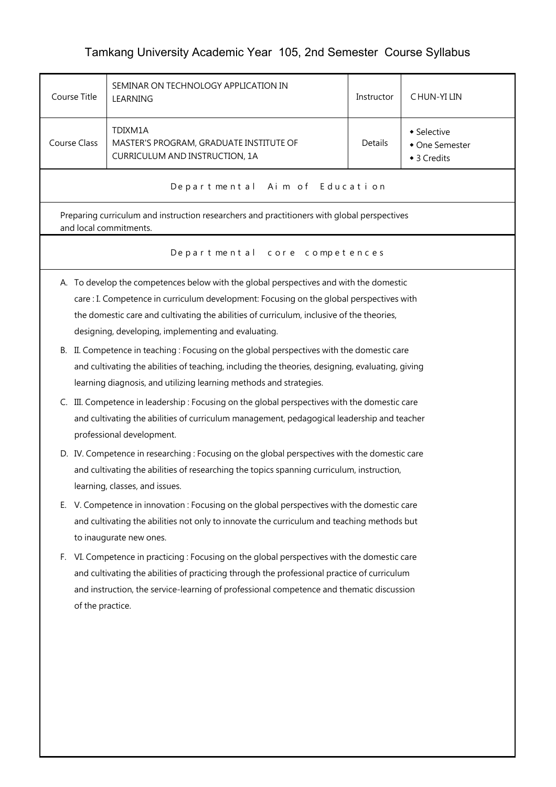## Tamkang University Academic Year 105, 2nd Semester Course Syllabus

| Course Title                  | SEMINAR ON TECHNOLOGY APPLICATION IN<br>LEARNING                                                                                                                                                                                                                                                                                       | Instructor | CHUN-YI LIN                                  |  |  |
|-------------------------------|----------------------------------------------------------------------------------------------------------------------------------------------------------------------------------------------------------------------------------------------------------------------------------------------------------------------------------------|------------|----------------------------------------------|--|--|
| <b>Course Class</b>           | TDIXM1A<br>MASTER'S PROGRAM, GRADUATE INSTITUTE OF<br>CURRICULUM AND INSTRUCTION, 1A                                                                                                                                                                                                                                                   | Details    | ◆ Selective<br>• One Semester<br>◆ 3 Credits |  |  |
|                               | Departmental Aim of Education                                                                                                                                                                                                                                                                                                          |            |                                              |  |  |
|                               | Preparing curriculum and instruction researchers and practitioners with global perspectives<br>and local commitments.                                                                                                                                                                                                                  |            |                                              |  |  |
| Departmental core competences |                                                                                                                                                                                                                                                                                                                                        |            |                                              |  |  |
|                               | A. To develop the competences below with the global perspectives and with the domestic<br>care : I. Competence in curriculum development: Focusing on the global perspectives with<br>the domestic care and cultivating the abilities of curriculum, inclusive of the theories,<br>designing, developing, implementing and evaluating. |            |                                              |  |  |
|                               | B. II. Competence in teaching : Focusing on the global perspectives with the domestic care<br>and cultivating the abilities of teaching, including the theories, designing, evaluating, giving<br>learning diagnosis, and utilizing learning methods and strategies.                                                                   |            |                                              |  |  |
|                               | C. III. Competence in leadership : Focusing on the global perspectives with the domestic care<br>and cultivating the abilities of curriculum management, pedagogical leadership and teacher<br>professional development.                                                                                                               |            |                                              |  |  |
|                               | D. IV. Competence in researching : Focusing on the global perspectives with the domestic care<br>and cultivating the abilities of researching the topics spanning curriculum, instruction,<br>learning, classes, and issues.                                                                                                           |            |                                              |  |  |
|                               | E. V. Competence in innovation : Focusing on the global perspectives with the domestic care<br>and cultivating the abilities not only to innovate the curriculum and teaching methods but<br>to inaugurate new ones.                                                                                                                   |            |                                              |  |  |
| F.                            | VI. Competence in practicing : Focusing on the global perspectives with the domestic care<br>and cultivating the abilities of practicing through the professional practice of curriculum<br>and instruction, the service-learning of professional competence and thematic discussion<br>of the practice.                               |            |                                              |  |  |
|                               |                                                                                                                                                                                                                                                                                                                                        |            |                                              |  |  |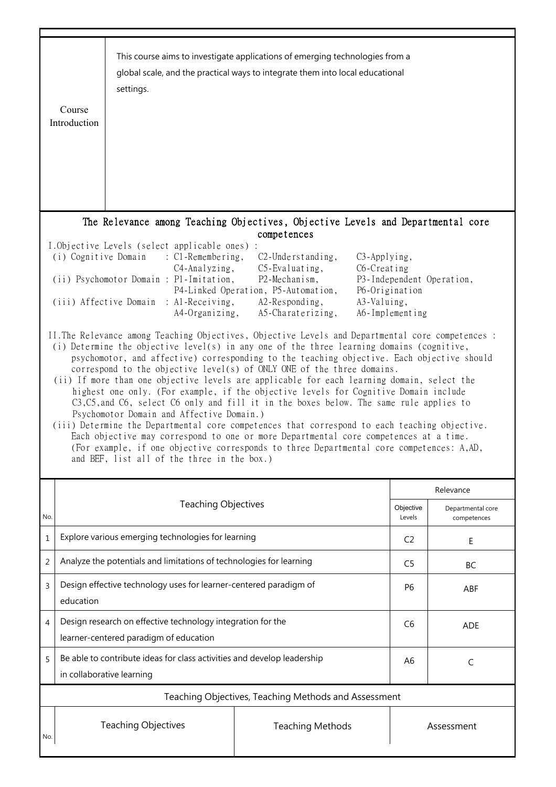|                                                      | Course<br>Introduction                                                                                                                                                                                                                                                                                                                                                                                                                                                                                                                                                                                                                                                                                                                                                                                                                                                                                                                                                                                                                                              | settings.                                                                                   | This course aims to investigate applications of emerging technologies from a<br>global scale, and the practical ways to integrate them into local educational |                |                                  |
|------------------------------------------------------|---------------------------------------------------------------------------------------------------------------------------------------------------------------------------------------------------------------------------------------------------------------------------------------------------------------------------------------------------------------------------------------------------------------------------------------------------------------------------------------------------------------------------------------------------------------------------------------------------------------------------------------------------------------------------------------------------------------------------------------------------------------------------------------------------------------------------------------------------------------------------------------------------------------------------------------------------------------------------------------------------------------------------------------------------------------------|---------------------------------------------------------------------------------------------|---------------------------------------------------------------------------------------------------------------------------------------------------------------|----------------|----------------------------------|
|                                                      | The Relevance among Teaching Objectives, Objective Levels and Departmental core<br>competences<br>I.Objective Levels (select applicable ones) :<br>(i) Cognitive Domain<br>$\therefore$ C1-Remembering,<br>$C2$ -Understanding,<br>C3-Applying,<br>C6-Creating<br>C4-Analyzing,<br>$C5$ -Evaluating,<br>(ii) Psychomotor Domain : P1-Imitation,<br>P2-Mechanism,<br>P3-Independent Operation,<br>P4-Linked Operation, P5-Automation,<br>P6-Origination<br>(iii) Affective Domain : Al-Receiving,<br>A2-Responding,<br>A3-Valuing,<br>A4-Organizing,<br>A5-Charaterizing,<br>A6-Implementing<br>II. The Relevance among Teaching Objectives, Objective Levels and Departmental core competences :<br>(i) Determine the objective level(s) in any one of the three learning domains (cognitive,<br>psychomotor, and affective) corresponding to the teaching objective. Each objective should<br>correspond to the objective level(s) of ONLY ONE of the three domains.<br>(ii) If more than one objective levels are applicable for each learning domain, select the |                                                                                             |                                                                                                                                                               |                |                                  |
|                                                      | highest one only. (For example, if the objective levels for Cognitive Domain include<br>C3, C5, and C6, select C6 only and fill it in the boxes below. The same rule applies to<br>Psychomotor Domain and Affective Domain.)<br>(iii) Determine the Departmental core competences that correspond to each teaching objective.<br>Each objective may correspond to one or more Departmental core competences at a time.<br>(For example, if one objective corresponds to three Departmental core competences: A,AD,<br>and BEF, list all of the three in the box.)                                                                                                                                                                                                                                                                                                                                                                                                                                                                                                   |                                                                                             |                                                                                                                                                               |                |                                  |
|                                                      | Relevance<br><b>Teaching Objectives</b><br>Objective                                                                                                                                                                                                                                                                                                                                                                                                                                                                                                                                                                                                                                                                                                                                                                                                                                                                                                                                                                                                                |                                                                                             |                                                                                                                                                               |                |                                  |
| No.                                                  |                                                                                                                                                                                                                                                                                                                                                                                                                                                                                                                                                                                                                                                                                                                                                                                                                                                                                                                                                                                                                                                                     |                                                                                             |                                                                                                                                                               |                | Departmental core<br>competences |
| 1                                                    |                                                                                                                                                                                                                                                                                                                                                                                                                                                                                                                                                                                                                                                                                                                                                                                                                                                                                                                                                                                                                                                                     | Explore various emerging technologies for learning                                          |                                                                                                                                                               |                | Е                                |
| 2                                                    |                                                                                                                                                                                                                                                                                                                                                                                                                                                                                                                                                                                                                                                                                                                                                                                                                                                                                                                                                                                                                                                                     | Analyze the potentials and limitations of technologies for learning<br>C <sub>5</sub><br>BC |                                                                                                                                                               |                |                                  |
| 3                                                    | Design effective technology uses for learner-centered paradigm of<br>P <sub>6</sub><br>education                                                                                                                                                                                                                                                                                                                                                                                                                                                                                                                                                                                                                                                                                                                                                                                                                                                                                                                                                                    |                                                                                             |                                                                                                                                                               | ABF            |                                  |
| 4                                                    | Design research on effective technology integration for the<br>learner-centered paradigm of education                                                                                                                                                                                                                                                                                                                                                                                                                                                                                                                                                                                                                                                                                                                                                                                                                                                                                                                                                               |                                                                                             |                                                                                                                                                               | C <sub>6</sub> | <b>ADE</b>                       |
| 5                                                    | Be able to contribute ideas for class activities and develop leadership<br>in collaborative learning                                                                                                                                                                                                                                                                                                                                                                                                                                                                                                                                                                                                                                                                                                                                                                                                                                                                                                                                                                |                                                                                             |                                                                                                                                                               | A <sub>6</sub> | $\mathsf C$                      |
| Teaching Objectives, Teaching Methods and Assessment |                                                                                                                                                                                                                                                                                                                                                                                                                                                                                                                                                                                                                                                                                                                                                                                                                                                                                                                                                                                                                                                                     |                                                                                             |                                                                                                                                                               |                |                                  |
| No.                                                  |                                                                                                                                                                                                                                                                                                                                                                                                                                                                                                                                                                                                                                                                                                                                                                                                                                                                                                                                                                                                                                                                     | <b>Teaching Objectives</b>                                                                  | <b>Teaching Methods</b>                                                                                                                                       |                | Assessment                       |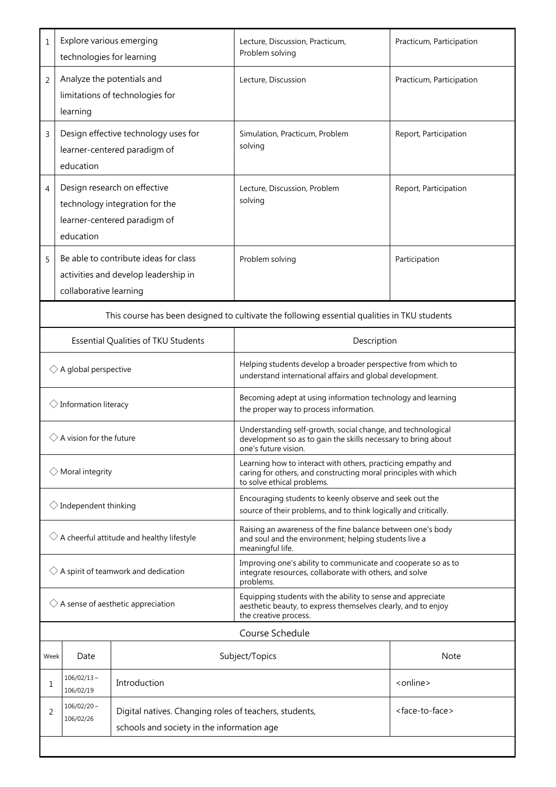| $\mathbf{1}$                                                                                                                            | Explore various emerging<br>technologies for learning                                        |                                                                                                | Lecture, Discussion, Practicum,<br>Practicum, Participation<br>Problem solving                                                                                |                               |  |
|-----------------------------------------------------------------------------------------------------------------------------------------|----------------------------------------------------------------------------------------------|------------------------------------------------------------------------------------------------|---------------------------------------------------------------------------------------------------------------------------------------------------------------|-------------------------------|--|
| $\overline{2}$                                                                                                                          | learning                                                                                     | Analyze the potentials and<br>limitations of technologies for                                  | Lecture, Discussion                                                                                                                                           | Practicum, Participation      |  |
| 3                                                                                                                                       | education                                                                                    | Design effective technology uses for<br>learner-centered paradigm of                           | Simulation, Practicum, Problem<br>solving                                                                                                                     | Report, Participation         |  |
| 4                                                                                                                                       | education                                                                                    | Design research on effective<br>technology integration for the<br>learner-centered paradigm of | Lecture, Discussion, Problem<br>solving                                                                                                                       | Report, Participation         |  |
| 5                                                                                                                                       | collaborative learning                                                                       | Be able to contribute ideas for class<br>activities and develop leadership in                  | Problem solving                                                                                                                                               | Participation                 |  |
|                                                                                                                                         | This course has been designed to cultivate the following essential qualities in TKU students |                                                                                                |                                                                                                                                                               |                               |  |
| Essential Qualities of TKU Students                                                                                                     |                                                                                              |                                                                                                | Description                                                                                                                                                   |                               |  |
| $\diamondsuit$ A global perspective                                                                                                     |                                                                                              |                                                                                                | Helping students develop a broader perspective from which to<br>understand international affairs and global development.                                      |                               |  |
| $\diamondsuit$ Information literacy                                                                                                     |                                                                                              |                                                                                                | Becoming adept at using information technology and learning<br>the proper way to process information.                                                         |                               |  |
| $\diamondsuit$ A vision for the future                                                                                                  |                                                                                              |                                                                                                | Understanding self-growth, social change, and technological<br>development so as to gain the skills necessary to bring about<br>one's future vision.          |                               |  |
| $\Diamond$ Moral integrity                                                                                                              |                                                                                              |                                                                                                | Learning how to interact with others, practicing empathy and<br>caring for others, and constructing moral principles with which<br>to solve ethical problems. |                               |  |
| $\diamondsuit$ Independent thinking                                                                                                     |                                                                                              |                                                                                                | Encouraging students to keenly observe and seek out the<br>source of their problems, and to think logically and critically.                                   |                               |  |
| $\Diamond$ A cheerful attitude and healthy lifestyle                                                                                    |                                                                                              |                                                                                                | Raising an awareness of the fine balance between one's body<br>and soul and the environment; helping students live a<br>meaningful life.                      |                               |  |
| $\Diamond$ A spirit of teamwork and dedication                                                                                          |                                                                                              |                                                                                                | Improving one's ability to communicate and cooperate so as to<br>integrate resources, collaborate with others, and solve<br>problems.                         |                               |  |
| $\Diamond$ A sense of aesthetic appreciation                                                                                            |                                                                                              |                                                                                                | Equipping students with the ability to sense and appreciate<br>aesthetic beauty, to express themselves clearly, and to enjoy<br>the creative process.         |                               |  |
|                                                                                                                                         | Course Schedule                                                                              |                                                                                                |                                                                                                                                                               |                               |  |
| Week                                                                                                                                    | Date                                                                                         |                                                                                                | Subject/Topics                                                                                                                                                | Note                          |  |
| 1                                                                                                                                       | $106/02/13 \sim$<br>106/02/19                                                                | Introduction                                                                                   |                                                                                                                                                               | <online></online>             |  |
| $106/02/20$ ~<br>Digital natives. Changing roles of teachers, students,<br>2<br>106/02/26<br>schools and society in the information age |                                                                                              |                                                                                                |                                                                                                                                                               | <face-to-face></face-to-face> |  |
|                                                                                                                                         |                                                                                              |                                                                                                |                                                                                                                                                               |                               |  |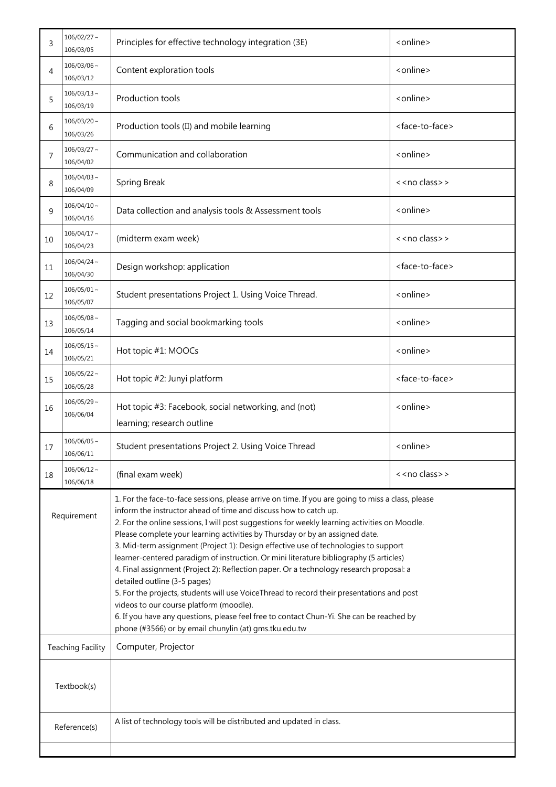| 3           | $106/02/27$ ~<br>106/03/05                                                           | Principles for effective technology integration (3E)                                                                                                                                                                                                                                                                                                                                                                                                                                                                                                                                                                                                                                                                                                                                                                                                                                                                                                             | <online></online>             |
|-------------|--------------------------------------------------------------------------------------|------------------------------------------------------------------------------------------------------------------------------------------------------------------------------------------------------------------------------------------------------------------------------------------------------------------------------------------------------------------------------------------------------------------------------------------------------------------------------------------------------------------------------------------------------------------------------------------------------------------------------------------------------------------------------------------------------------------------------------------------------------------------------------------------------------------------------------------------------------------------------------------------------------------------------------------------------------------|-------------------------------|
| 4           | $106/03/06 \sim$<br>106/03/12                                                        | Content exploration tools                                                                                                                                                                                                                                                                                                                                                                                                                                                                                                                                                                                                                                                                                                                                                                                                                                                                                                                                        | <online></online>             |
| 5           | $106/03/13 \sim$<br>106/03/19                                                        | Production tools                                                                                                                                                                                                                                                                                                                                                                                                                                                                                                                                                                                                                                                                                                                                                                                                                                                                                                                                                 | <online></online>             |
| 6           | $106/03/20$ ~<br>106/03/26                                                           | Production tools (II) and mobile learning                                                                                                                                                                                                                                                                                                                                                                                                                                                                                                                                                                                                                                                                                                                                                                                                                                                                                                                        | <face-to-face></face-to-face> |
| 7           | $106/03/27$ ~<br>106/04/02                                                           | Communication and collaboration                                                                                                                                                                                                                                                                                                                                                                                                                                                                                                                                                                                                                                                                                                                                                                                                                                                                                                                                  | <online></online>             |
| 8           | $106/04/03 \sim$<br>106/04/09                                                        | Spring Break                                                                                                                                                                                                                                                                                                                                                                                                                                                                                                                                                                                                                                                                                                                                                                                                                                                                                                                                                     | < <no class="">&gt;</no>      |
| 9           | $106/04/10 \sim$<br>106/04/16                                                        | Data collection and analysis tools & Assessment tools                                                                                                                                                                                                                                                                                                                                                                                                                                                                                                                                                                                                                                                                                                                                                                                                                                                                                                            | <online></online>             |
| 10          | $106/04/17 \sim$<br>106/04/23                                                        | (midterm exam week)                                                                                                                                                                                                                                                                                                                                                                                                                                                                                                                                                                                                                                                                                                                                                                                                                                                                                                                                              | << no class>>                 |
| 11          | $106/04/24$ ~<br>106/04/30                                                           | Design workshop: application                                                                                                                                                                                                                                                                                                                                                                                                                                                                                                                                                                                                                                                                                                                                                                                                                                                                                                                                     | <face-to-face></face-to-face> |
| 12          | $106/05/01$ ~<br>106/05/07                                                           | Student presentations Project 1. Using Voice Thread.                                                                                                                                                                                                                                                                                                                                                                                                                                                                                                                                                                                                                                                                                                                                                                                                                                                                                                             | <online></online>             |
| 13          | $106/05/08 \sim$<br>106/05/14                                                        | Tagging and social bookmarking tools                                                                                                                                                                                                                                                                                                                                                                                                                                                                                                                                                                                                                                                                                                                                                                                                                                                                                                                             | <online></online>             |
| 14          | $106/05/15 \sim$<br>106/05/21                                                        | Hot topic #1: MOOCs                                                                                                                                                                                                                                                                                                                                                                                                                                                                                                                                                                                                                                                                                                                                                                                                                                                                                                                                              | <online></online>             |
| 15          | $106/05/22$ ~<br>106/05/28                                                           | Hot topic #2: Junyi platform                                                                                                                                                                                                                                                                                                                                                                                                                                                                                                                                                                                                                                                                                                                                                                                                                                                                                                                                     | <face-to-face></face-to-face> |
| 16          | $106/05/29$ ~<br>106/06/04                                                           | Hot topic #3: Facebook, social networking, and (not)<br>learning; research outline                                                                                                                                                                                                                                                                                                                                                                                                                                                                                                                                                                                                                                                                                                                                                                                                                                                                               | <online></online>             |
| 17          | $106/06/05$ ~<br>106/06/11                                                           | Student presentations Project 2. Using Voice Thread                                                                                                                                                                                                                                                                                                                                                                                                                                                                                                                                                                                                                                                                                                                                                                                                                                                                                                              | <online></online>             |
| 18          | $106/06/12 \sim$<br>106/06/18                                                        | (final exam week)                                                                                                                                                                                                                                                                                                                                                                                                                                                                                                                                                                                                                                                                                                                                                                                                                                                                                                                                                | << no class>>                 |
| Requirement |                                                                                      | 1. For the face-to-face sessions, please arrive on time. If you are going to miss a class, please<br>inform the instructor ahead of time and discuss how to catch up.<br>2. For the online sessions, I will post suggestions for weekly learning activities on Moodle.<br>Please complete your learning activities by Thursday or by an assigned date.<br>3. Mid-term assignment (Project 1): Design effective use of technologies to support<br>learner-centered paradigm of instruction. Or mini literature bibliography (5 articles)<br>4. Final assignment (Project 2): Reflection paper. Or a technology research proposal: a<br>detailed outline (3-5 pages)<br>5. For the projects, students will use VoiceThread to record their presentations and post<br>videos to our course platform (moodle).<br>6. If you have any questions, please feel free to contact Chun-Yi. She can be reached by<br>phone (#3566) or by email chunylin (at) gms.tku.edu.tw |                               |
|             | <b>Teaching Facility</b>                                                             | Computer, Projector                                                                                                                                                                                                                                                                                                                                                                                                                                                                                                                                                                                                                                                                                                                                                                                                                                                                                                                                              |                               |
|             | Textbook(s)                                                                          |                                                                                                                                                                                                                                                                                                                                                                                                                                                                                                                                                                                                                                                                                                                                                                                                                                                                                                                                                                  |                               |
|             | A list of technology tools will be distributed and updated in class.<br>Reference(s) |                                                                                                                                                                                                                                                                                                                                                                                                                                                                                                                                                                                                                                                                                                                                                                                                                                                                                                                                                                  |                               |
|             |                                                                                      |                                                                                                                                                                                                                                                                                                                                                                                                                                                                                                                                                                                                                                                                                                                                                                                                                                                                                                                                                                  |                               |